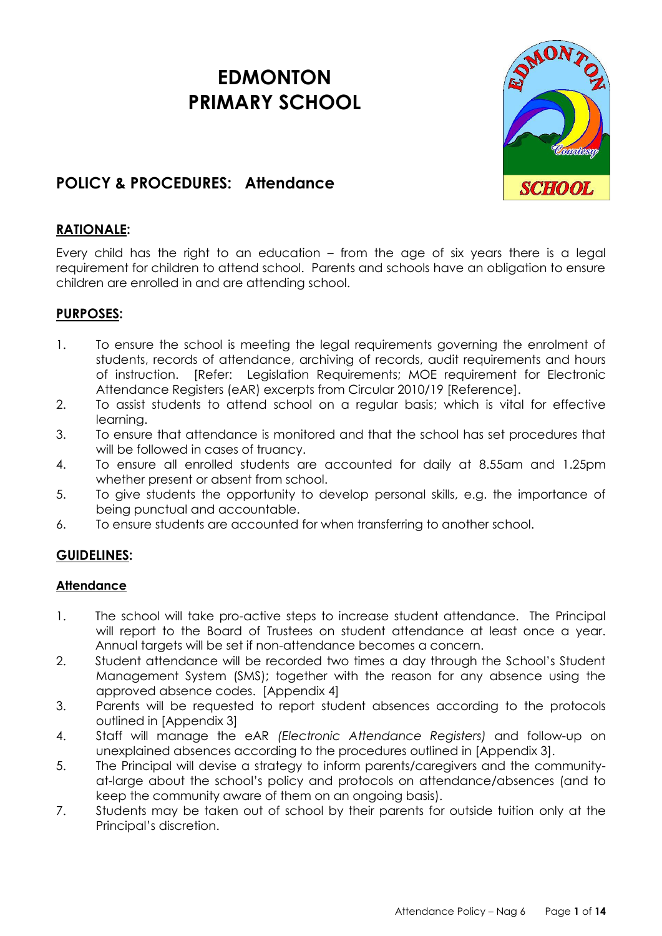# **EDMONTON PRIMARY SCHOOL**



## **POLICY & PROCEDURES: Attendance**

## **RATIONALE:**

Every child has the right to an education – from the age of six years there is a legal requirement for children to attend school. Parents and schools have an obligation to ensure children are enrolled in and are attending school.

## **PURPOSES:**

- 1. To ensure the school is meeting the legal requirements governing the enrolment of students, records of attendance, archiving of records, audit requirements and hours of instruction. [Refer: Legislation Requirements; MOE requirement for Electronic Attendance Registers (eAR) excerpts from Circular 2010/19 [Reference].
- 2. To assist students to attend school on a regular basis; which is vital for effective learning.
- 3. To ensure that attendance is monitored and that the school has set procedures that will be followed in cases of truancy.
- 4. To ensure all enrolled students are accounted for daily at 8.55am and 1.25pm whether present or absent from school.
- 5. To give students the opportunity to develop personal skills, e.g. the importance of being punctual and accountable.
- 6. To ensure students are accounted for when transferring to another school.

## **GUIDELINES:**

## **Attendance**

- 1. The school will take pro-active steps to increase student attendance. The Principal will report to the Board of Trustees on student attendance at least once a year. Annual targets will be set if non-attendance becomes a concern.
- 2. Student attendance will be recorded two times a day through the School's Student Management System (SMS); together with the reason for any absence using the approved absence codes. [Appendix 4]
- 3. Parents will be requested to report student absences according to the protocols outlined in [Appendix 3]
- 4. Staff will manage the eAR *(Electronic Attendance Registers)* and follow-up on unexplained absences according to the procedures outlined in [Appendix 3].
- 5. The Principal will devise a strategy to inform parents/caregivers and the communityat-large about the school's policy and protocols on attendance/absences (and to keep the community aware of them on an ongoing basis).
- 7. Students may be taken out of school by their parents for outside tuition only at the Principal's discretion.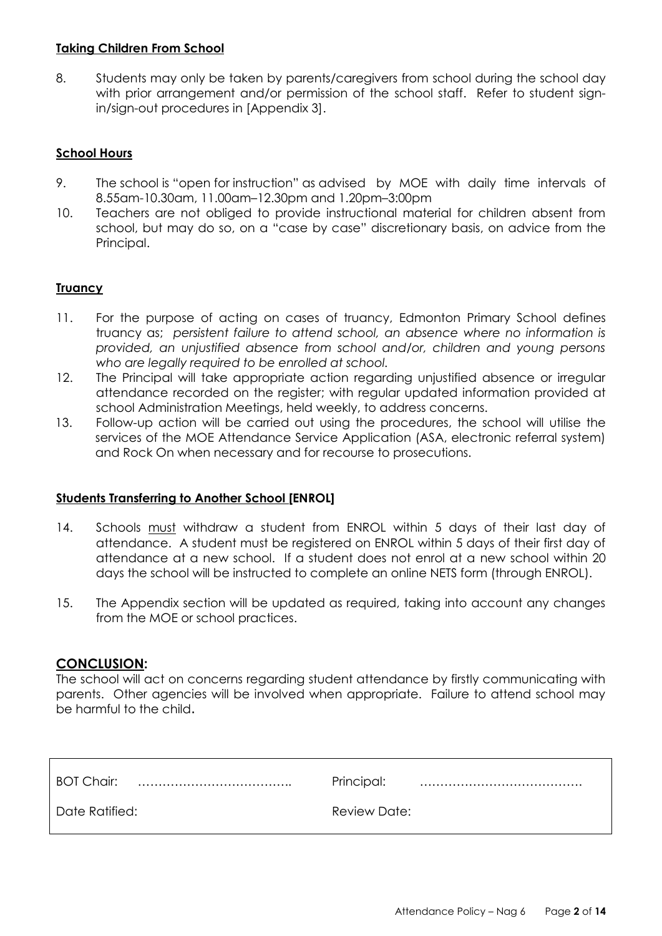## **Taking Children From School**

8. Students may only be taken by parents/caregivers from school during the school day with prior arrangement and/or permission of the school staff. Refer to student signin/sign-out procedures in [Appendix 3].

## **School Hours**

- 9. The school is "open for instruction" as advised by MOE with daily time intervals of 8.55am-10.30am, 11.00am–12.30pm and 1.20pm–3:00pm
- 10. Teachers are not obliged to provide instructional material for children absent from school, but may do so, on a "case by case" discretionary basis, on advice from the Principal.

## **Truancy**

- 11. For the purpose of acting on cases of truancy, Edmonton Primary School defines truancy as; *persistent failure to attend school, an absence where no information is provided, an unjustified absence from school and/or, children and young persons who are legally required to be enrolled at school.*
- 12. The Principal will take appropriate action regarding unjustified absence or irregular attendance recorded on the register; with regular updated information provided at school Administration Meetings, held weekly, to address concerns.
- 13. Follow-up action will be carried out using the procedures, the school will utilise the services of the MOE Attendance Service Application (ASA, electronic referral system) and Rock On when necessary and for recourse to prosecutions.

## **Students Transferring to Another School [ENROL]**

- 14. Schools must withdraw a student from ENROL within 5 days of their last day of attendance. A student must be registered on ENROL within 5 days of their first day of attendance at a new school. If a student does not enrol at a new school within 20 days the school will be instructed to complete an online NETS form (through ENROL).
- 15. The Appendix section will be updated as required, taking into account any changes from the MOE or school practices.

### **CONCLUSION:**

The school will act on concerns regarding student attendance by firstly communicating with parents. Other agencies will be involved when appropriate. Failure to attend school may be harmful to the child.

| <b>BOT Chair:</b> | Principal:   |
|-------------------|--------------|
|                   |              |
| Date Ratified:    | Review Date: |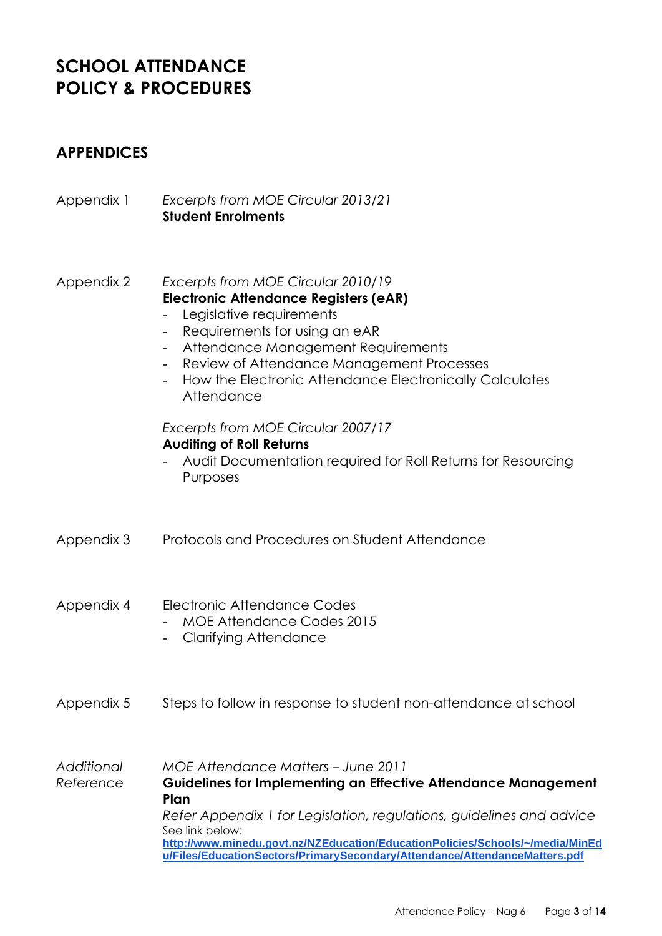# **SCHOOL ATTENDANCE POLICY & PROCEDURES**

## **APPENDICES**

| Appendix 1              | Excerpts from MOE Circular 2013/21<br><b>Student Enrolments</b>                                                                                                                                                                                                                                                                                                                      |
|-------------------------|--------------------------------------------------------------------------------------------------------------------------------------------------------------------------------------------------------------------------------------------------------------------------------------------------------------------------------------------------------------------------------------|
| Appendix 2              | Excerpts from MOE Circular 2010/19<br><b>Electronic Attendance Registers (eAR)</b><br>Legislative requirements<br>Requirements for using an eAR<br>Attendance Management Requirements<br>Review of Attendance Management Processes<br>$\overline{\phantom{a}}$<br>How the Electronic Attendance Electronically Calculates<br>Attendance                                              |
|                         | Excerpts from MOE Circular 2007/17<br><b>Auditing of Roll Returns</b><br>Audit Documentation required for Roll Returns for Resourcing<br>Purposes                                                                                                                                                                                                                                    |
| Appendix 3              | Protocols and Procedures on Student Attendance                                                                                                                                                                                                                                                                                                                                       |
| Appendix 4              | Electronic Attendance Codes<br><b>MOE Attendance Codes 2015</b><br><b>Clarifying Attendance</b>                                                                                                                                                                                                                                                                                      |
| Appendix 5              | Steps to follow in response to student non-attendance at school                                                                                                                                                                                                                                                                                                                      |
| Additional<br>Reference | <b>MOE Attendance Matters - June 2011</b><br><b>Guidelines for Implementing an Effective Attendance Management</b><br>Plan<br>Refer Appendix 1 for Legislation, regulations, guidelines and advice<br>See link below:<br>http://www.minedu.govt.nz/NZEducation/EducationPolicies/Schools/~/media/MinEd<br>u/Files/EducationSectors/PrimarySecondary/Attendance/AttendanceMatters.pdf |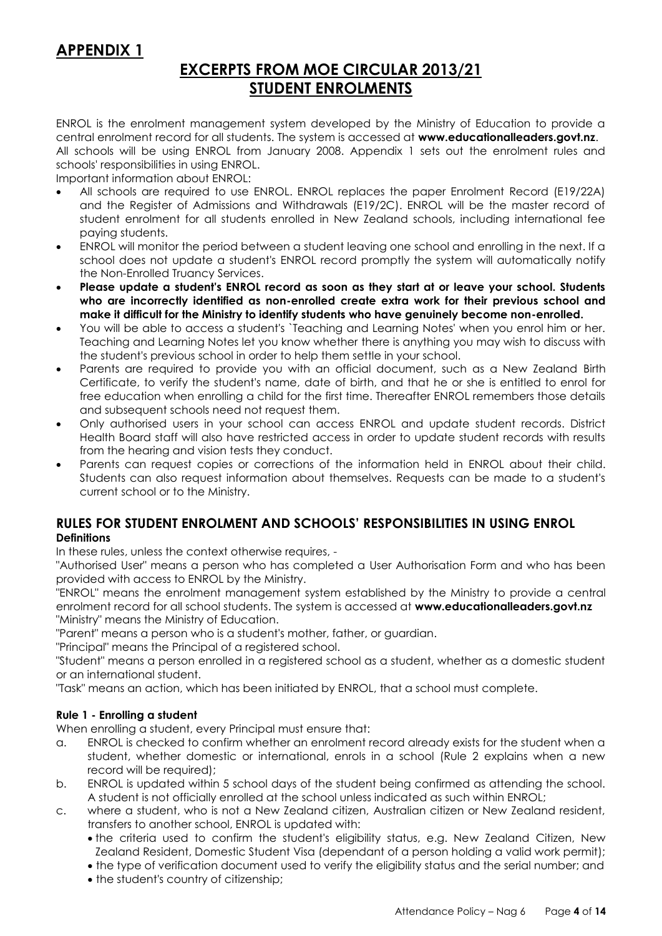## **APPENDIX 1**

## **EXCERPTS FROM MOE CIRCULAR 2013/21 STUDENT ENROLMENTS**

ENROL is the enrolment management system developed by the Ministry of Education to provide a central enrolment record for all students. The system is accessed at **[www.educationalleaders.govt.nz](http://www.educationalleaders.govt.nz/)**. All schools will be using ENROL from January 2008. Appendix 1 sets out the enrolment rules and schools' responsibilities in using ENROL.

Important information about ENROL:

- All schools are required to use ENROL. ENROL replaces the paper Enrolment Record (E19/22A) and the Register of Admissions and Withdrawals (E19/2C). ENROL will be the master record of student enrolment for all students enrolled in New Zealand schools, including international fee paying students.
- ENROL will monitor the period between a student leaving one school and enrolling in the next. If a school does not update a student's ENROL record promptly the system will automatically notify the Non-Enrolled Truancy Services.
- **Please update a student's ENROL record as soon as they start at or leave your school. Students who are incorrectly identified as non-enrolled create extra work for their previous school and make it difficult for the Ministry to identify students who have genuinely become non-enrolled.**
- You will be able to access a student's `Teaching and Learning Notes' when you enrol him or her. Teaching and Learning Notes let you know whether there is anything you may wish to discuss with the student's previous school in order to help them settle in your school.
- Parents are required to provide you with an official document, such as a New Zealand Birth Certificate, to verify the student's name, date of birth, and that he or she is entitled to enrol for free education when enrolling a child for the first time. Thereafter ENROL remembers those details and subsequent schools need not request them.
- Only authorised users in your school can access ENROL and update student records. District Health Board staff will also have restricted access in order to update student records with results from the hearing and vision tests they conduct.
- Parents can request copies or corrections of the information held in ENROL about their child. Students can also request information about themselves. Requests can be made to a student's current school or to the Ministry.

## **RULES FOR STUDENT ENROLMENT AND SCHOOLS' RESPONSIBILITIES IN USING ENROL Definitions**

In these rules, unless the context otherwise requires, -

"Authorised User" means a person who has completed a User Authorisation Form and who has been provided with access to ENROL by the Ministry.

"ENROL" means the enrolment management system established by the Ministry to provide a central enrolment record for all school students. The system is accessed at **[www.educationalleaders.govt.nz](http://www.educationalleaders.govt.nz/)** "Ministry" means the Ministry of Education.

"Parent" means a person who is a student's mother, father, or guardian.

"Principal" means the Principal of a registered school.

"Student" means a person enrolled in a registered school as a student, whether as a domestic student or an international student.

"Task" means an action, which has been initiated by ENROL, that a school must complete.

### **Rule 1 - Enrolling a student**

When enrolling a student, every Principal must ensure that:

- a. ENROL is checked to confirm whether an enrolment record already exists for the student when a student, whether domestic or international, enrols in a school (Rule 2 explains when a new record will be required);
- b. ENROL is updated within 5 school days of the student being confirmed as attending the school. A student is not officially enrolled at the school unless indicated as such within ENROL;
- c. where a student, who is not a New Zealand citizen, Australian citizen or New Zealand resident, transfers to another school, ENROL is updated with:
	- the criteria used to confirm the student's eligibility status, e.g. New Zealand Citizen, New Zealand Resident, Domestic Student Visa (dependant of a person holding a valid work permit);
	- the type of verification document used to verify the eligibility status and the serial number; and
	- the student's country of citizenship;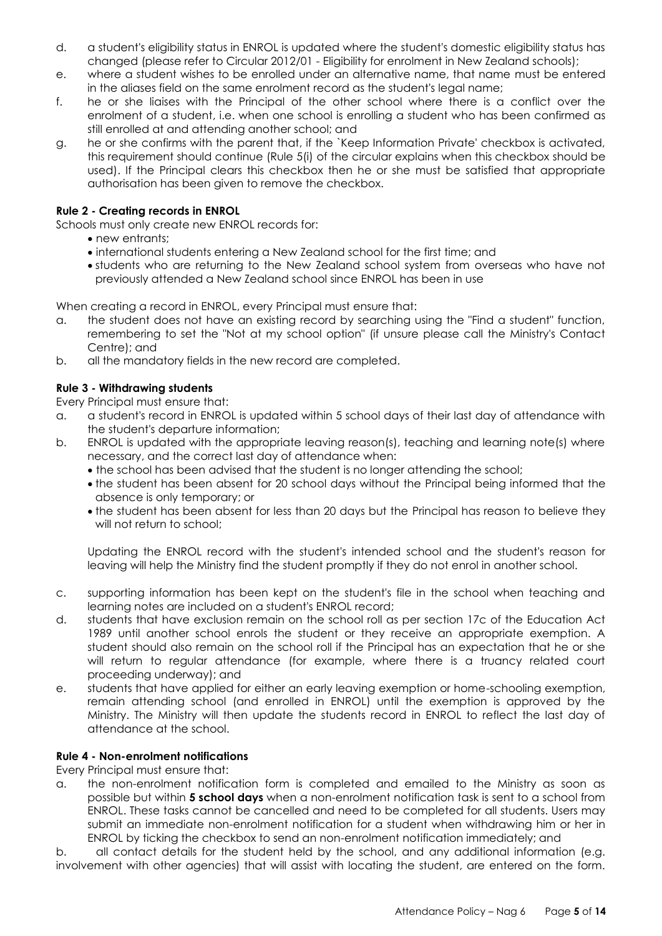- d. a student's eligibility status in ENROL is updated where the student's domestic eligibility status has changed (please refer to Circular 2012/01 - Eligibility for enrolment in New Zealand schools);
- e. where a student wishes to be enrolled under an alternative name, that name must be entered in the aliases field on the same enrolment record as the student's legal name;
- f. he or she liaises with the Principal of the other school where there is a conflict over the enrolment of a student, i.e. when one school is enrolling a student who has been confirmed as still enrolled at and attending another school; and
- g. he or she confirms with the parent that, if the `Keep Information Private' checkbox is activated, this requirement should continue (Rule 5(i) of the circular explains when this checkbox should be used). If the Principal clears this checkbox then he or she must be satisfied that appropriate authorisation has been given to remove the checkbox.

### **Rule 2 - Creating records in ENROL**

Schools must only create new ENROL records for:

- new entrants;
- international students entering a New Zealand school for the first time; and
- students who are returning to the New Zealand school system from overseas who have not previously attended a New Zealand school since ENROL has been in use

When creating a record in ENROL, every Principal must ensure that:

- a. the student does not have an existing record by searching using the "Find a student" function, remembering to set the "Not at my school option" (if unsure please call the Ministry's Contact Centre); and
- b. all the mandatory fields in the new record are completed.

### **Rule 3 - Withdrawing students**

Every Principal must ensure that:

- a. a student's record in ENROL is updated within 5 school days of their last day of attendance with the student's departure information;
- b. ENROL is updated with the appropriate leaving reason(s), teaching and learning note(s) where necessary, and the correct last day of attendance when:
	- the school has been advised that the student is no longer attending the school;
	- the student has been absent for 20 school days without the Principal being informed that the absence is only temporary; or
	- the student has been absent for less than 20 days but the Principal has reason to believe they will not return to school;

Updating the ENROL record with the student's intended school and the student's reason for leaving will help the Ministry find the student promptly if they do not enrol in another school.

- c. supporting information has been kept on the student's file in the school when teaching and learning notes are included on a student's ENROL record;
- d. students that have exclusion remain on the school roll as per section 17c of the Education Act 1989 until another school enrols the student or they receive an appropriate exemption. A student should also remain on the school roll if the Principal has an expectation that he or she will return to regular attendance (for example, where there is a truancy related court proceeding underway); and
- e. students that have applied for either an early leaving exemption or home-schooling exemption, remain attending school (and enrolled in ENROL) until the exemption is approved by the Ministry. The Ministry will then update the students record in ENROL to reflect the last day of attendance at the school.

### **Rule 4 - Non-enrolment notifications**

Every Principal must ensure that:

a. the non-enrolment notification form is completed and emailed to the Ministry as soon as possible but within **5 school days** when a non-enrolment notification task is sent to a school from ENROL. These tasks cannot be cancelled and need to be completed for all students. Users may submit an immediate non-enrolment notification for a student when withdrawing him or her in ENROL by ticking the checkbox to send an non-enrolment notification immediately; and

b. all contact details for the student held by the school, and any additional information (e.g. involvement with other agencies) that will assist with locating the student, are entered on the form.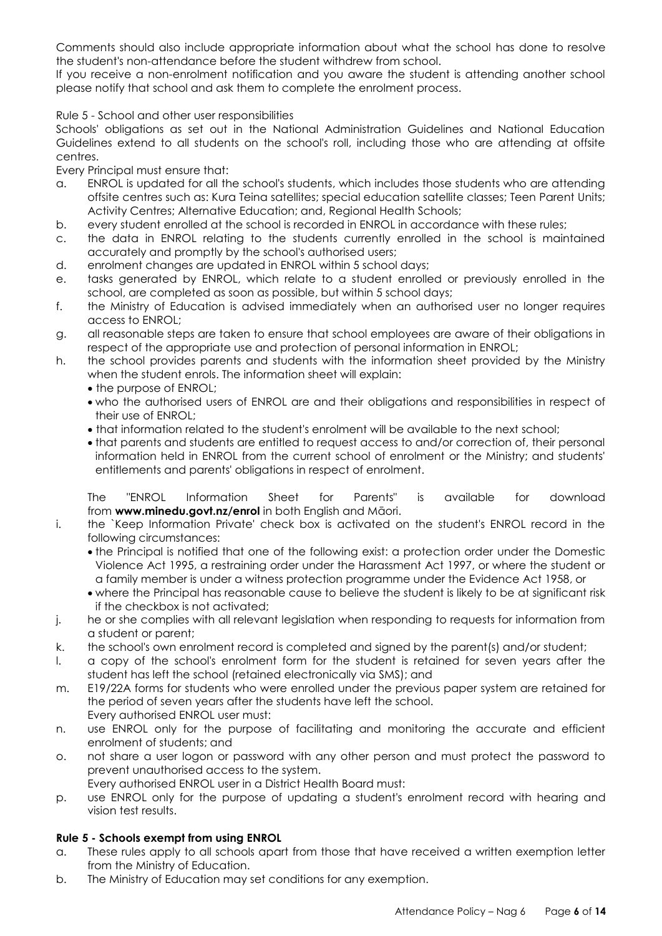Comments should also include appropriate information about what the school has done to resolve the student's non-attendance before the student withdrew from school.

If you receive a non-enrolment notification and you aware the student is attending another school please notify that school and ask them to complete the enrolment process.

#### Rule 5 - School and other user responsibilities

Schools' obligations as set out in the National Administration Guidelines and National Education Guidelines extend to all students on the school's roll, including those who are attending at offsite centres.

Every Principal must ensure that:

- a. ENROL is updated for all the school's students, which includes those students who are attending offsite centres such as: Kura Teina satellites; special education satellite classes; Teen Parent Units; Activity Centres; Alternative Education; and, Regional Health Schools;
- b. every student enrolled at the school is recorded in ENROL in accordance with these rules;
- c. the data in ENROL relating to the students currently enrolled in the school is maintained accurately and promptly by the school's authorised users;
- d. enrolment changes are updated in ENROL within 5 school days;
- e. tasks generated by ENROL, which relate to a student enrolled or previously enrolled in the school, are completed as soon as possible, but within 5 school days;
- f. the Ministry of Education is advised immediately when an authorised user no longer requires access to ENROL;
- g. all reasonable steps are taken to ensure that school employees are aware of their obligations in respect of the appropriate use and protection of personal information in ENROL;
- h. the school provides parents and students with the information sheet provided by the Ministry when the student enrols. The information sheet will explain:
	- the purpose of ENROL;
	- who the authorised users of ENROL are and their obligations and responsibilities in respect of their use of ENROL;
	- that information related to the student's enrolment will be available to the next school;
	- that parents and students are entitled to request access to and/or correction of, their personal information held in ENROL from the current school of enrolment or the Ministry; and students' entitlements and parents' obligations in respect of enrolment.

The "ENROL Information Sheet for Parents" is available for download from **[www.minedu.govt.nz/enrol](http://www.minedu.govt.nz/enrol)** in both English and Māori.

- i. the `Keep Information Private' check box is activated on the student's ENROL record in the following circumstances:
	- the Principal is notified that one of the following exist: a protection order under the Domestic Violence Act 1995, a restraining order under the Harassment Act 1997, or where the student or a family member is under a witness protection programme under the Evidence Act 1958, or
	- where the Principal has reasonable cause to believe the student is likely to be at significant risk if the checkbox is not activated;
- j. he or she complies with all relevant legislation when responding to requests for information from a student or parent;
- k. the school's own enrolment record is completed and signed by the parent(s) and/or student;
- l. a copy of the school's enrolment form for the student is retained for seven years after the student has left the school (retained electronically via SMS); and
- m. E19/22A forms for students who were enrolled under the previous paper system are retained for the period of seven years after the students have left the school. Every authorised ENROL user must:
- n. use ENROL only for the purpose of facilitating and monitoring the accurate and efficient enrolment of students; and
- o. not share a user logon or password with any other person and must protect the password to prevent unauthorised access to the system.
- Every authorised ENROL user in a District Health Board must:
- p. use ENROL only for the purpose of updating a student's enrolment record with hearing and vision test results.

### **Rule 5 - Schools exempt from using ENROL**

- a. These rules apply to all schools apart from those that have received a written exemption letter from the Ministry of Education.
- b. The Ministry of Education may set conditions for any exemption.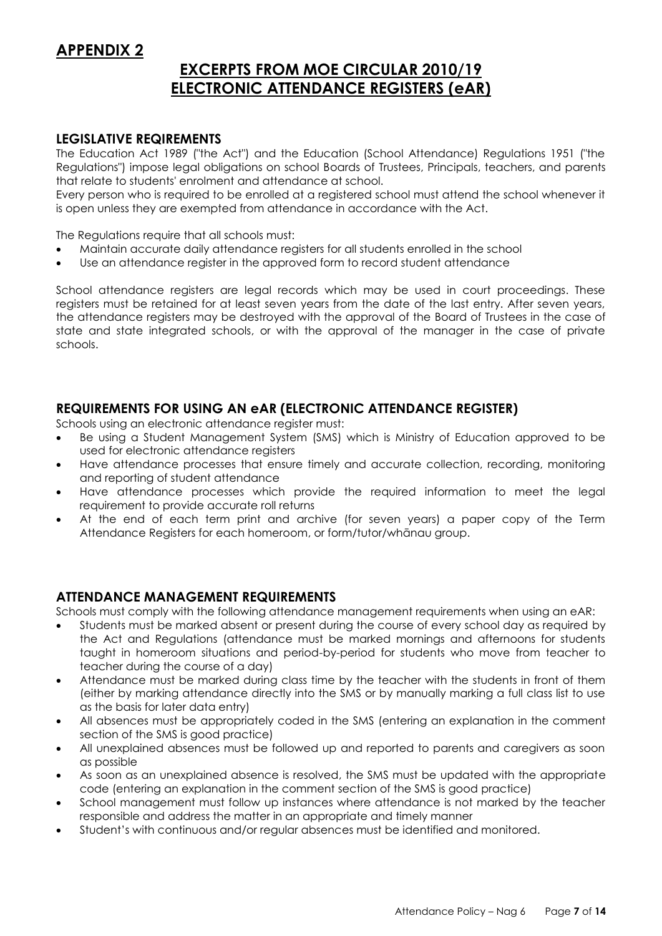## **APPENDIX 2**

## **EXCERPTS FROM MOE CIRCULAR 2010/19 ELECTRONIC ATTENDANCE REGISTERS (eAR)**

### **LEGISLATIVE REQIREMENTS**

The Education Act 1989 ("the Act") and the Education (School Attendance) Regulations 1951 ("the Regulations") impose legal obligations on school Boards of Trustees, Principals, teachers, and parents that relate to students' enrolment and attendance at school.

Every person who is required to be enrolled at a registered school must attend the school whenever it is open unless they are exempted from attendance in accordance with the Act.

The Regulations require that all schools must:

- Maintain accurate daily attendance registers for all students enrolled in the school
- Use an attendance register in the approved form to record student attendance

School attendance registers are legal records which may be used in court proceedings. These registers must be retained for at least seven years from the date of the last entry. After seven years, the attendance registers may be destroyed with the approval of the Board of Trustees in the case of state and state integrated schools, or with the approval of the manager in the case of private schools.

## **REQUIREMENTS FOR USING AN eAR (ELECTRONIC ATTENDANCE REGISTER)**

Schools using an electronic attendance register must:

- Be using a Student Management System (SMS) which is Ministry of Education approved to be used for electronic attendance registers
- Have attendance processes that ensure timely and accurate collection, recording, monitoring and reporting of student attendance
- Have attendance processes which provide the required information to meet the legal requirement to provide accurate roll returns
- At the end of each term print and archive (for seven years) a paper copy of the Term Attendance Registers for each homeroom, or form/tutor/whānau group.

## **ATTENDANCE MANAGEMENT REQUIREMENTS**

Schools must comply with the following attendance management requirements when using an eAR:

- Students must be marked absent or present during the course of every school day as required by the Act and Regulations (attendance must be marked mornings and afternoons for students taught in homeroom situations and period-by-period for students who move from teacher to teacher during the course of a day)
- Attendance must be marked during class time by the teacher with the students in front of them (either by marking attendance directly into the SMS or by manually marking a full class list to use as the basis for later data entry)
- All absences must be appropriately coded in the SMS (entering an explanation in the comment section of the SMS is good practice)
- All unexplained absences must be followed up and reported to parents and caregivers as soon as possible
- As soon as an unexplained absence is resolved, the SMS must be updated with the appropriate code (entering an explanation in the comment section of the SMS is good practice)
- School management must follow up instances where attendance is not marked by the teacher responsible and address the matter in an appropriate and timely manner
- Student's with continuous and/or regular absences must be identified and monitored.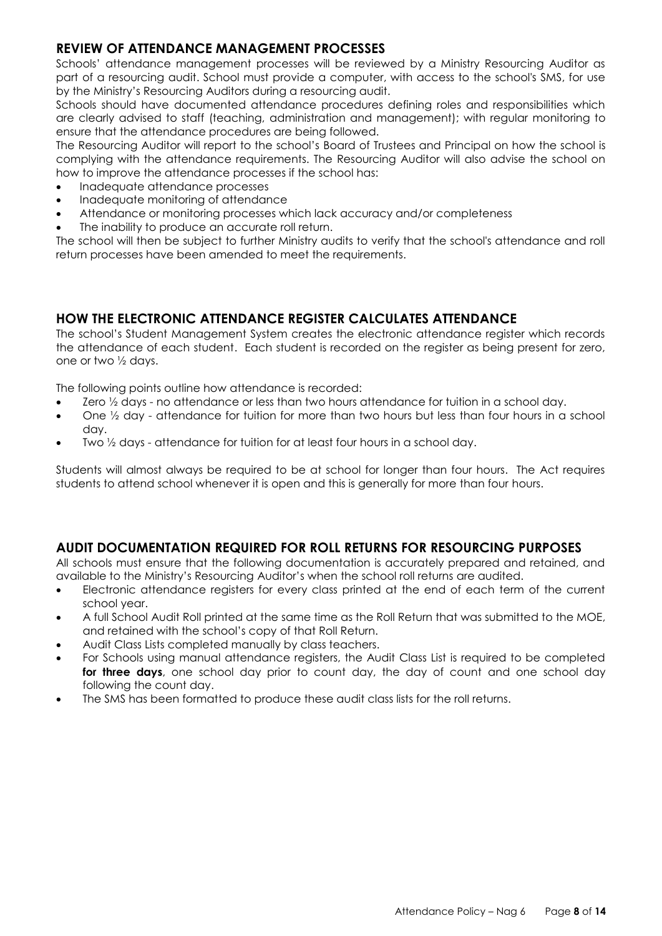## **REVIEW OF ATTENDANCE MANAGEMENT PROCESSES**

Schools' attendance management processes will be reviewed by a Ministry Resourcing Auditor as part of a resourcing audit. School must provide a computer, with access to the school's SMS, for use by the Ministry's Resourcing Auditors during a resourcing audit.

Schools should have documented attendance procedures defining roles and responsibilities which are clearly advised to staff (teaching, administration and management); with regular monitoring to ensure that the attendance procedures are being followed.

The Resourcing Auditor will report to the school's Board of Trustees and Principal on how the school is complying with the attendance requirements. The Resourcing Auditor will also advise the school on how to improve the attendance processes if the school has:

- Inadequate attendance processes
- Inadequate monitoring of attendance
- Attendance or monitoring processes which lack accuracy and/or completeness
- The inability to produce an accurate roll return.

The school will then be subject to further Ministry audits to verify that the school's attendance and roll return processes have been amended to meet the requirements.

## **HOW THE ELECTRONIC ATTENDANCE REGISTER CALCULATES ATTENDANCE**

The school's Student Management System creates the electronic attendance register which records the attendance of each student. Each student is recorded on the register as being present for zero, one or two ½ days.

The following points outline how attendance is recorded:

- Zero  $\frac{1}{2}$  days no attendance or less than two hours attendance for tuition in a school day.
- One ½ day attendance for tuition for more than two hours but less than four hours in a school day.
- Two ½ days attendance for tuition for at least four hours in a school day.

Students will almost always be required to be at school for longer than four hours. The Act requires students to attend school whenever it is open and this is generally for more than four hours.

## **AUDIT DOCUMENTATION REQUIRED FOR ROLL RETURNS FOR RESOURCING PURPOSES**

All schools must ensure that the following documentation is accurately prepared and retained, and available to the Ministry's Resourcing Auditor's when the school roll returns are audited.

- Electronic attendance registers for every class printed at the end of each term of the current school year.
- A full School Audit Roll printed at the same time as the Roll Return that was submitted to the MOE, and retained with the school's copy of that Roll Return.
- Audit Class Lists completed manually by class teachers.
- For Schools using manual attendance registers, the Audit Class List is required to be completed **for three days**, one school day prior to count day, the day of count and one school day following the count day.
- The SMS has been formatted to produce these audit class lists for the roll returns.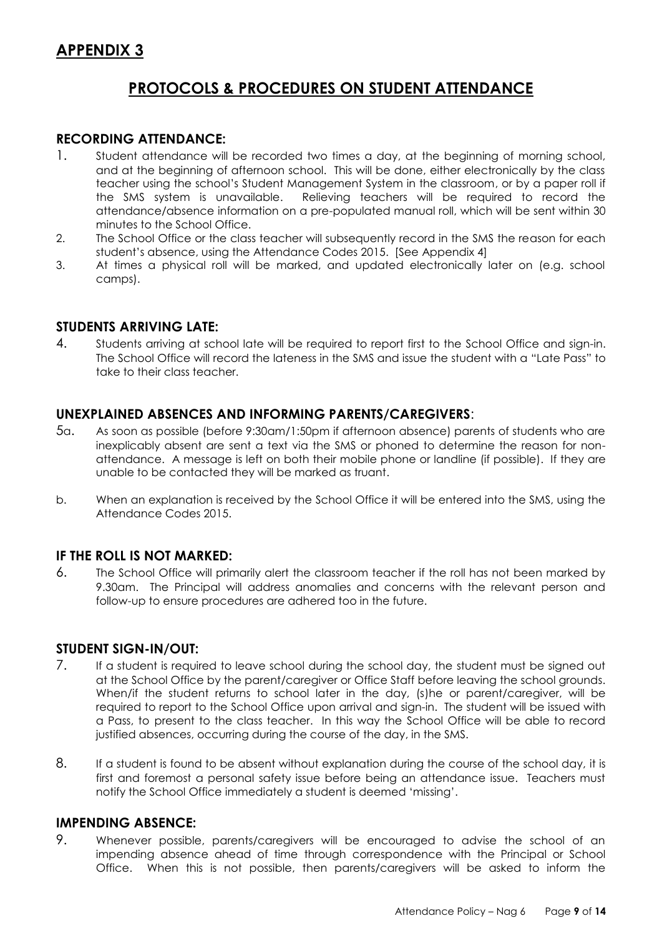## **APPENDIX 3**

## **PROTOCOLS & PROCEDURES ON STUDENT ATTENDANCE**

### **RECORDING ATTENDANCE:**

- 1. Student attendance will be recorded two times a day, at the beginning of morning school, and at the beginning of afternoon school. This will be done, either electronically by the class teacher using the school's Student Management System in the classroom, or by a paper roll if the SMS system is unavailable. Relieving teachers will be required to record the attendance/absence information on a pre-populated manual roll, which will be sent within 30 minutes to the School Office.
- 2. The School Office or the class teacher will subsequently record in the SMS the reason for each student's absence, using the Attendance Codes 2015. [See Appendix 4]
- 3. At times a physical roll will be marked, and updated electronically later on (e.g. school camps).

## **STUDENTS ARRIVING LATE:**

4. Students arriving at school late will be required to report first to the School Office and sign-in. The School Office will record the lateness in the SMS and issue the student with a "Late Pass" to take to their class teacher.

### **UNEXPLAINED ABSENCES AND INFORMING PARENTS/CAREGIVERS**:

- 5a. As soon as possible (before 9:30am/1:50pm if afternoon absence) parents of students who are inexplicably absent are sent a text via the SMS or phoned to determine the reason for nonattendance. A message is left on both their mobile phone or landline (if possible). If they are unable to be contacted they will be marked as truant.
- b. When an explanation is received by the School Office it will be entered into the SMS, using the Attendance Codes 2015.

### **IF THE ROLL IS NOT MARKED:**

6. The School Office will primarily alert the classroom teacher if the roll has not been marked by 9.30am. The Principal will address anomalies and concerns with the relevant person and follow-up to ensure procedures are adhered too in the future.

### **STUDENT SIGN-IN/OUT:**

- 7. If a student is required to leave school during the school day, the student must be signed out at the School Office by the parent/caregiver or Office Staff before leaving the school grounds. When/if the student returns to school later in the day, (s)he or parent/caregiver, will be required to report to the School Office upon arrival and sign-in. The student will be issued with a Pass, to present to the class teacher. In this way the School Office will be able to record justified absences, occurring during the course of the day, in the SMS.
- 8. If a student is found to be absent without explanation during the course of the school day, it is first and foremost a personal safety issue before being an attendance issue. Teachers must notify the School Office immediately a student is deemed 'missing'.

### **IMPENDING ABSENCE:**

9. Whenever possible, parents/caregivers will be encouraged to advise the school of an impending absence ahead of time through correspondence with the Principal or School Office. When this is not possible, then parents/caregivers will be asked to inform the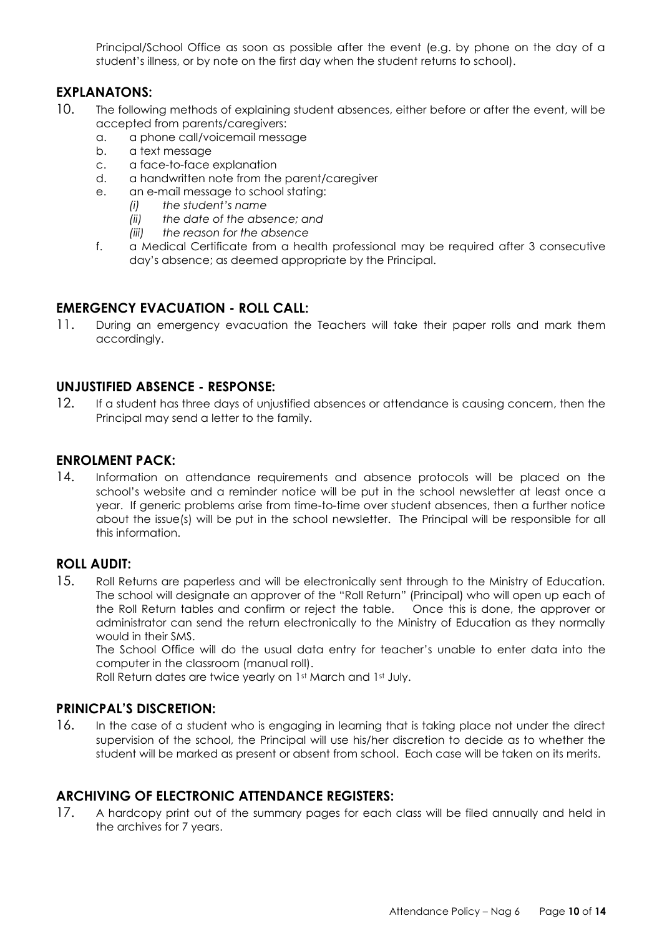Principal/School Office as soon as possible after the event (e.g. by phone on the day of a student's illness, or by note on the first day when the student returns to school).

## **EXPLANATONS:**

- 10. The following methods of explaining student absences, either before or after the event, will be accepted from parents/caregivers:
	- a. a phone call/voicemail message
	- b. a text message
	- c. a face-to-face explanation
	- d. a handwritten note from the parent/caregiver
	- e. an e-mail message to school stating:
		- *(i) the student's name*
			- *(ii) the date of the absence; and*
			- *(iii) the reason for the absence*
	- f. a Medical Certificate from a health professional may be required after 3 consecutive day's absence; as deemed appropriate by the Principal.

## **EMERGENCY EVACUATION - ROLL CALL:**

11. During an emergency evacuation the Teachers will take their paper rolls and mark them accordingly.

### **UNJUSTIFIED ABSENCE - RESPONSE:**

12. If a student has three days of unjustified absences or attendance is causing concern, then the Principal may send a letter to the family.

### **ENROLMENT PACK:**

14. Information on attendance requirements and absence protocols will be placed on the school's website and a reminder notice will be put in the school newsletter at least once a year. If generic problems arise from time-to-time over student absences, then a further notice about the issue(s) will be put in the school newsletter. The Principal will be responsible for all this information.

### **ROLL AUDIT:**

15. Roll Returns are paperless and will be electronically sent through to the Ministry of Education. The school will designate an approver of the "Roll Return" (Principal) who will open up each of the Roll Return tables and confirm or reject the table. Once this is done, the approver or administrator can send the return electronically to the Ministry of Education as they normally would in their SMS.

The School Office will do the usual data entry for teacher's unable to enter data into the computer in the classroom (manual roll).

Roll Return dates are twice yearly on 1st March and 1st July.

### **PRINICPAL'S DISCRETION:**

16. In the case of a student who is engaging in learning that is taking place not under the direct supervision of the school, the Principal will use his/her discretion to decide as to whether the student will be marked as present or absent from school. Each case will be taken on its merits.

### **ARCHIVING OF ELECTRONIC ATTENDANCE REGISTERS:**

17. A hardcopy print out of the summary pages for each class will be filed annually and held in the archives for 7 years.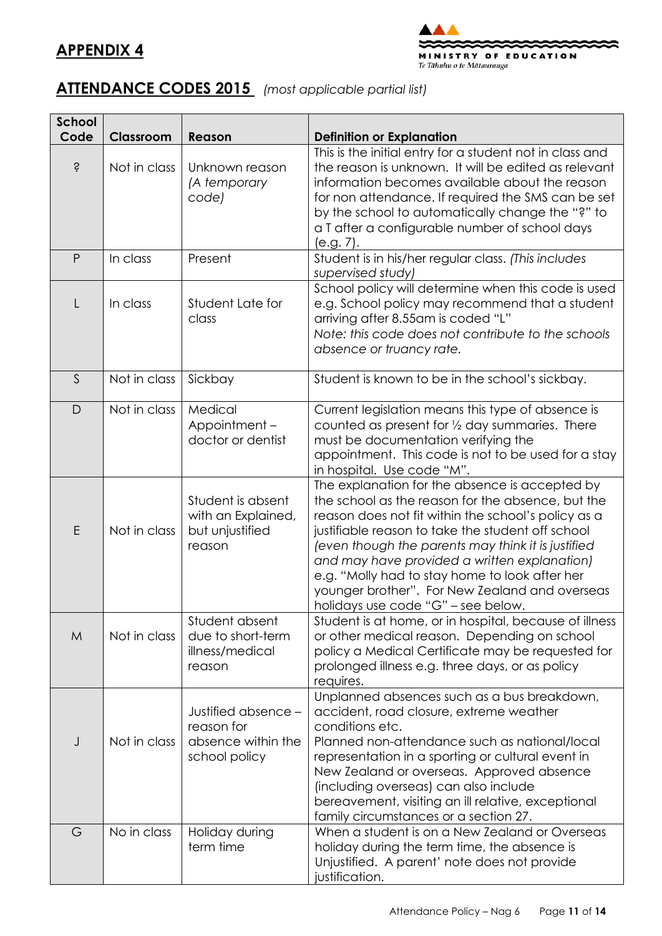



# **ATTENDANCE CODES 2015** *(most applicable partial list)*

| <b>School</b> |              |                                                                          |                                                                                                                                                                                                                                                                                                                                                                                                                                                                 |
|---------------|--------------|--------------------------------------------------------------------------|-----------------------------------------------------------------------------------------------------------------------------------------------------------------------------------------------------------------------------------------------------------------------------------------------------------------------------------------------------------------------------------------------------------------------------------------------------------------|
| Code          | Classroom    | Reason                                                                   | <b>Definition or Explanation</b>                                                                                                                                                                                                                                                                                                                                                                                                                                |
| Ŝ             | Not in class | Unknown reason<br>(A temporary<br>code)                                  | This is the initial entry for a student not in class and<br>the reason is unknown. It will be edited as relevant<br>information becomes available about the reason<br>for non attendance. If required the SMS can be set<br>by the school to automatically change the "?" to<br>a T after a configurable number of school days<br>(e.g. 7).                                                                                                                     |
| P             | In class     | Present                                                                  | Student is in his/her regular class. (This includes<br>supervised study)                                                                                                                                                                                                                                                                                                                                                                                        |
| L             | In class     | Student Late for<br>class                                                | School policy will determine when this code is used<br>e.g. School policy may recommend that a student<br>arriving after 8.55am is coded "L"<br>Note: this code does not contribute to the schools<br>absence or truancy rate.                                                                                                                                                                                                                                  |
| S             | Not in class | Sickbay                                                                  | Student is known to be in the school's sickbay.                                                                                                                                                                                                                                                                                                                                                                                                                 |
| $\mathsf{D}$  | Not in class | Medical<br>Appointment-<br>doctor or dentist                             | Current legislation means this type of absence is<br>counted as present for 1/2 day summaries. There<br>must be documentation verifying the<br>appointment. This code is not to be used for a stay<br>in hospital. Use code "M".                                                                                                                                                                                                                                |
| E             | Not in class | Student is absent<br>with an Explained,<br>but unjustified<br>reason     | The explanation for the absence is accepted by<br>the school as the reason for the absence, but the<br>reason does not fit within the school's policy as a<br>justifiable reason to take the student off school<br>(even though the parents may think it is justified<br>and may have provided a written explanation)<br>e.g. "Molly had to stay home to look after her<br>younger brother". For New Zealand and overseas<br>holidays use code "G" – see below. |
| M             | Not in class | Student absent<br>due to short-term<br>illness/medical<br>reason         | Student is at home, or in hospital, because of illness<br>or other medical reason. Depending on school<br>policy a Medical Certificate may be requested for<br>prolonged illness e.g. three days, or as policy<br>requires.                                                                                                                                                                                                                                     |
| J             | Not in class | Justified absence -<br>reason for<br>absence within the<br>school policy | Unplanned absences such as a bus breakdown,<br>accident, road closure, extreme weather<br>conditions etc.<br>Planned non-attendance such as national/local<br>representation in a sporting or cultural event in<br>New Zealand or overseas. Approved absence<br>(including overseas) can also include<br>bereavement, visiting an ill relative, exceptional<br>family circumstances or a section 27.                                                            |
| G             | No in class  | Holiday during<br>term time                                              | When a student is on a New Zealand or Overseas<br>holiday during the term time, the absence is<br>Unjustified. A parent' note does not provide<br>justification.                                                                                                                                                                                                                                                                                                |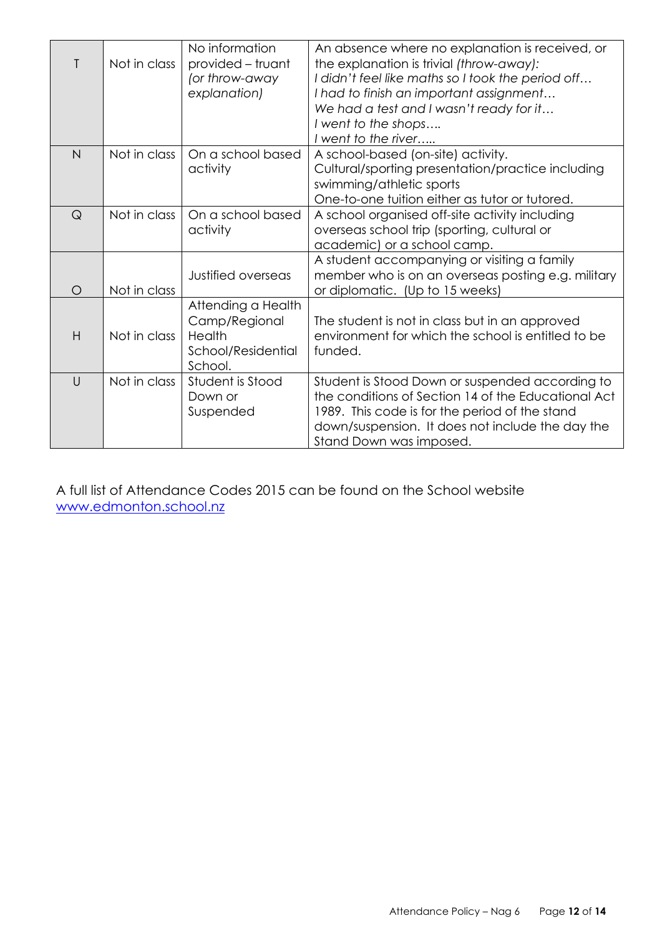|                | Not in class | No information<br>provided – truant<br>(or throw-away<br>explanation)          | An absence where no explanation is received, or<br>the explanation is trivial (throw-away):<br>I didn't feel like maths so I took the period off<br>I had to finish an important assignment<br>We had a test and I wasn't ready for it<br>I went to the shops<br>I went to the river |
|----------------|--------------|--------------------------------------------------------------------------------|--------------------------------------------------------------------------------------------------------------------------------------------------------------------------------------------------------------------------------------------------------------------------------------|
| $\overline{N}$ | Not in class | On a school based<br>activity                                                  | A school-based (on-site) activity.<br>Cultural/sporting presentation/practice including<br>swimming/athletic sports<br>One-to-one tuition either as tutor or tutored.                                                                                                                |
| $\mathsf Q$    | Not in class | On a school based<br>activity                                                  | A school organised off-site activity including<br>overseas school trip (sporting, cultural or<br>academic) or a school camp.                                                                                                                                                         |
| $\circ$        | Not in class | Justified overseas                                                             | A student accompanying or visiting a family<br>member who is on an overseas posting e.g. military<br>or diplomatic. (Up to 15 weeks)                                                                                                                                                 |
| H              | Not in class | Attending a Health<br>Camp/Regional<br>Health<br>School/Residential<br>School. | The student is not in class but in an approved<br>environment for which the school is entitled to be<br>funded.                                                                                                                                                                      |
| $\cup$         | Not in class | Student is Stood<br>Down or<br>Suspended                                       | Student is Stood Down or suspended according to<br>the conditions of Section 14 of the Educational Act<br>1989. This code is for the period of the stand<br>down/suspension. It does not include the day the<br>Stand Down was imposed.                                              |

A full list of Attendance Codes 2015 can be found on the School website [www.edmonton.school.nz](http://www.edmonton.school.nz/)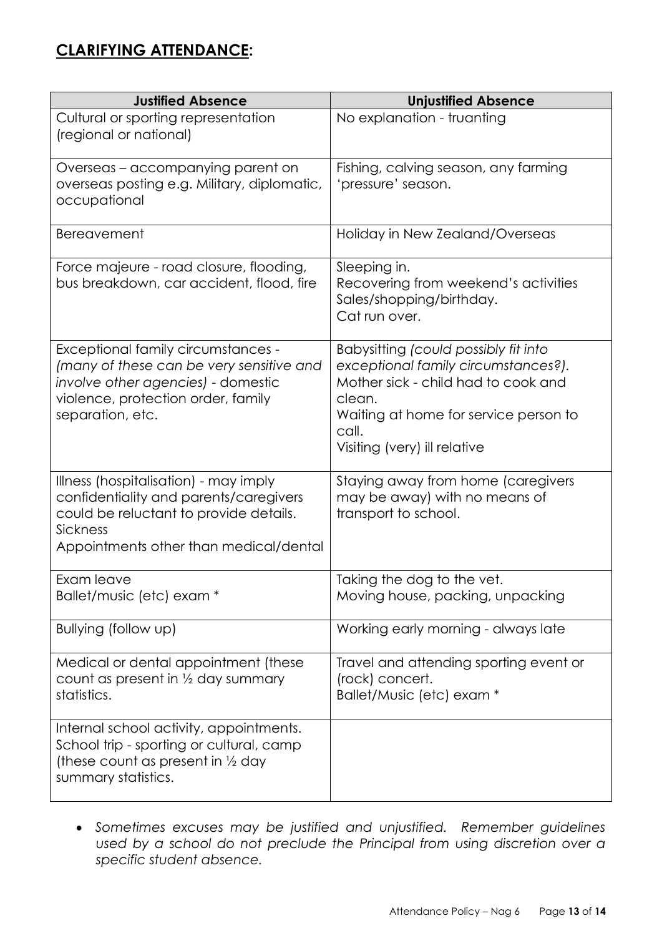| <b>Justified Absence</b>                                                                                                                                                        | <b>Unjustified Absence</b>                                                                                                                                                                                     |
|---------------------------------------------------------------------------------------------------------------------------------------------------------------------------------|----------------------------------------------------------------------------------------------------------------------------------------------------------------------------------------------------------------|
| Cultural or sporting representation<br>(regional or national)                                                                                                                   | No explanation - truanting                                                                                                                                                                                     |
| Overseas - accompanying parent on<br>overseas posting e.g. Military, diplomatic,<br>occupational                                                                                | Fishing, calving season, any farming<br>'pressure' season.                                                                                                                                                     |
| <b>Bereavement</b>                                                                                                                                                              | Holiday in New Zealand/Overseas                                                                                                                                                                                |
| Force majeure - road closure, flooding,<br>bus breakdown, car accident, flood, fire                                                                                             | Sleeping in.<br>Recovering from weekend's activities<br>Sales/shopping/birthday.<br>Cat run over.                                                                                                              |
| Exceptional family circumstances -<br>(many of these can be very sensitive and<br>involve other agencies) - domestic<br>violence, protection order, family<br>separation, etc.  | Babysitting (could possibly fit into<br>exceptional family circumstances?).<br>Mother sick - child had to cook and<br>clean.<br>Waiting at home for service person to<br>call.<br>Visiting (very) ill relative |
| Illness (hospitalisation) - may imply<br>confidentiality and parents/caregivers<br>could be reluctant to provide details.<br>Sickness<br>Appointments other than medical/dental | Staying away from home (caregivers<br>may be away) with no means of<br>transport to school.                                                                                                                    |
| Exam leave<br>Ballet/music (etc) exam *                                                                                                                                         | Taking the dog to the vet.<br>Moving house, packing, unpacking                                                                                                                                                 |
| Bullying (follow up)                                                                                                                                                            | Working early morning - always late                                                                                                                                                                            |
| Medical or dental appointment (these<br>count as present in $\frac{1}{2}$ day summary<br>statistics.                                                                            | Travel and attending sporting event or<br>(rock) concert.<br>Ballet/Music (etc) exam *                                                                                                                         |
| Internal school activity, appointments.<br>School trip - sporting or cultural, camp<br>(these count as present in $\frac{1}{2}$ day<br>summary statistics.                      |                                                                                                                                                                                                                |

 *Sometimes excuses may be justified and unjustified. Remember guidelines used by a school do not preclude the Principal from using discretion over a specific student absence.*